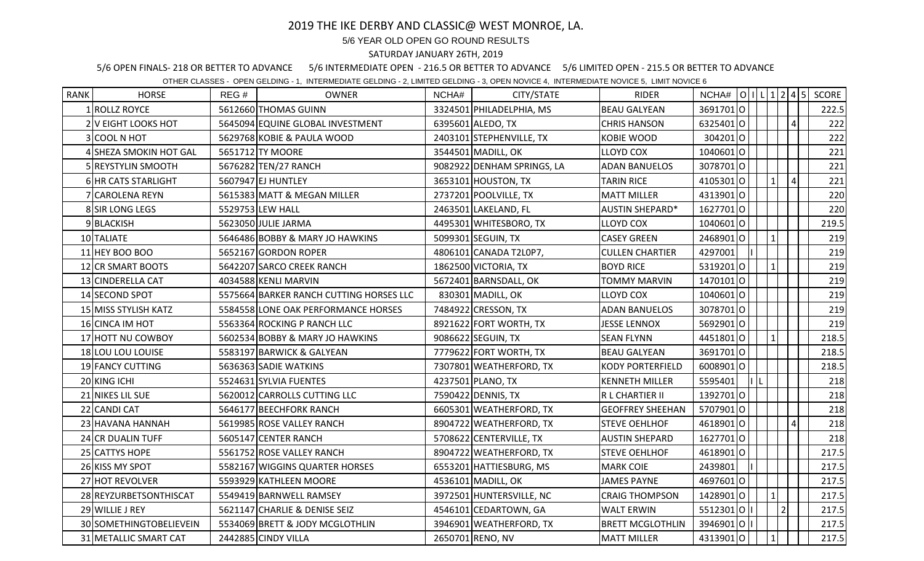## 2019 THE IKE DERBY AND CLASSIC@ WEST MONROE, LA.

## 5/6 YEAR OLD OPEN GO ROUND RESULTS

## SATURDAY JANUARY 26TH, 2019

5/6 OPEN FINALS- 218 OR BETTER TO ADVANCE 5/6 INTERMEDIATE OPEN - 216.5 OR BETTER TO ADVANCE 5/6 LIMITED OPEN - 215.5 OR BETTER TO ADVANCE

OTHER CLASSES - OPEN GELDING - 1, INTERMEDIATE GELDING - 2, LIMITED GELDING - 3, OPEN NOVICE 4, INTERMEDIATE NOVICE 5, LIMIT NOVICE 6

| <b>RANK</b> | <b>HORSE</b>            | REG# | <b>OWNER</b>                            | NCHA# | CITY/STATE                 | <b>RIDER</b>            | NCHA#  O   L  1  2  4  5 |      |              |                |                | SCORE |
|-------------|-------------------------|------|-----------------------------------------|-------|----------------------------|-------------------------|--------------------------|------|--------------|----------------|----------------|-------|
|             | 1 ROLLZ ROYCE           |      | 5612660 THOMAS GUINN                    |       | 3324501 PHILADELPHIA, MS   | <b>BEAU GALYEAN</b>     | 36917010                 |      |              |                |                | 222.5 |
|             | 2 V EIGHT LOOKS HOT     |      | 5645094 EQUINE GLOBAL INVESTMENT        |       | 6395601 ALEDO, TX          | <b>CHRIS HANSON</b>     | 63254010                 |      |              |                | $\overline{4}$ | 222   |
|             | 3 COOL N HOT            |      | 5629768 KOBIE & PAULA WOOD              |       | 2403101 STEPHENVILLE, TX   | <b>KOBIE WOOD</b>       | 3042010                  |      |              |                |                | 222   |
|             | 4 SHEZA SMOKIN HOT GAL  |      | 5651712 TY MOORE                        |       | 3544501 MADILL, OK         | <b>LLOYD COX</b>        | 10406010                 |      |              |                |                | 221   |
|             | 5 REYSTYLIN SMOOTH      |      | 5676282 TEN/27 RANCH                    |       | 9082922 DENHAM SPRINGS, LA | <b>ADAN BANUELOS</b>    | 30787010                 |      |              |                |                | 221   |
|             | 6 HR CATS STARLIGHT     |      | 5607947 EJ HUNTLEY                      |       | 3653101 HOUSTON, TX        | <b>TARIN RICE</b>       | 41053010                 |      | $\mathbf{1}$ |                | $\sqrt{4}$     | 221   |
|             | 7 CAROLENA REYN         |      | 5615383 MATT & MEGAN MILLER             |       | 2737201 POOLVILLE, TX      | <b>MATT MILLER</b>      | 43139010                 |      |              |                |                | 220   |
|             | 8 SIR LONG LEGS         |      | 5529753 LEW HALL                        |       | 2463501 LAKELAND, FL       | <b>AUSTIN SHEPARD*</b>  | 16277010                 |      |              |                |                | 220   |
|             | 9BLACKISH               |      | 5623050 JULIE JARMA                     |       | 4495301 WHITESBORO, TX     | LLOYD COX               | 10406010                 |      |              |                |                | 219.5 |
|             | 10 TALIATE              |      | 5646486 BOBBY & MARY JO HAWKINS         |       | 5099301 SEGUIN, TX         | <b>CASEY GREEN</b>      | 24689010                 |      | $\mathbf{1}$ |                |                | 219   |
|             | 11 HEY BOO BOO          |      | 5652167 GORDON ROPER                    |       | 4806101 CANADA T2L0P7,     | <b>CULLEN CHARTIER</b>  | 4297001                  |      |              |                |                | 219   |
|             | 12 CR SMART BOOTS       |      | 5642207 SARCO CREEK RANCH               |       | 1862500 VICTORIA, TX       | <b>BOYD RICE</b>        | 53192010                 |      | $\mathbf{1}$ |                |                | 219   |
|             | 13 CINDERELLA CAT       |      | 4034588 KENLI MARVIN                    |       | 5672401 BARNSDALL, OK      | <b>TOMMY MARVIN</b>     | 14701010                 |      |              |                |                | 219   |
|             | 14 SECOND SPOT          |      | 5575664 BARKER RANCH CUTTING HORSES LLC |       | 830301 MADILL, OK          | <b>LLOYD COX</b>        | 10406010                 |      |              |                |                | 219   |
|             | 15 MISS STYLISH KATZ    |      | 5584558 LONE OAK PERFORMANCE HORSES     |       | 7484922 CRESSON, TX        | <b>ADAN BANUELOS</b>    | 30787010                 |      |              |                |                | 219   |
|             | 16 CINCA IM HOT         |      | 5563364 ROCKING P RANCH LLC             |       | 8921622 FORT WORTH, TX     | <b>JESSE LENNOX</b>     | 56929010                 |      |              |                |                | 219   |
|             | 17 HOTT NU COWBOY       |      | 5602534 BOBBY & MARY JO HAWKINS         |       | 9086622 SEGUIN, TX         | <b>SEAN FLYNN</b>       | 44518010                 |      | 1            |                |                | 218.5 |
|             | 18 LOU LOU LOUISE       |      | 5583197 BARWICK & GALYEAN               |       | 7779622 FORT WORTH, TX     | <b>BEAU GALYEAN</b>     | 36917010                 |      |              |                |                | 218.5 |
|             | 19 FANCY CUTTING        |      | 5636363 SADIE WATKINS                   |       | 7307801 WEATHERFORD, TX    | <b>KODY PORTERFIELD</b> | 60089010                 |      |              |                |                | 218.5 |
|             | 20 KING ICHI            |      | 5524631 SYLVIA FUENTES                  |       | 4237501 PLANO, TX          | <b>KENNETH MILLER</b>   | 5595401                  | I  L |              |                |                | 218   |
|             | 21 NIKES LIL SUE        |      | 5620012 CARROLLS CUTTING LLC            |       | 7590422 DENNIS, TX         | R L CHARTIER II         | 13927010                 |      |              |                |                | 218   |
|             | 22 CANDI CAT            |      | 5646177 BEECHFORK RANCH                 |       | 6605301 WEATHERFORD, TX    | <b>GEOFFREY SHEEHAN</b> | 57079010                 |      |              |                |                | 218   |
|             | 23 HAVANA HANNAH        |      | 5619985 ROSE VALLEY RANCH               |       | 8904722 WEATHERFORD, TX    | <b>STEVE OEHLHOF</b>    | 46189010                 |      |              |                | $\overline{4}$ | 218   |
|             | 24 CR DUALIN TUFF       |      | 5605147 CENTER RANCH                    |       | 5708622 CENTERVILLE, TX    | <b>AUSTIN SHEPARD</b>   | 16277010                 |      |              |                |                | 218   |
|             | 25 CATTYS HOPE          |      | 5561752 ROSE VALLEY RANCH               |       | 8904722 WEATHERFORD, TX    | <b>STEVE OEHLHOF</b>    | 46189010                 |      |              |                |                | 217.5 |
|             | 26 KISS MY SPOT         |      | 5582167 WIGGINS QUARTER HORSES          |       | 6553201 HATTIESBURG, MS    | <b>MARK COIE</b>        | 2439801                  |      |              |                |                | 217.5 |
|             | 27 HOT REVOLVER         |      | 5593929 KATHLEEN MOORE                  |       | 4536101 MADILL, OK         | <b>JAMES PAYNE</b>      | 4697601O                 |      |              |                |                | 217.5 |
|             | 28 REYZURBETSONTHISCAT  |      | 5549419 BARNWELL RAMSEY                 |       | 3972501 HUNTERSVILLE, NC   | <b>CRAIG THOMPSON</b>   | 14289010                 |      | $\mathbf{1}$ |                |                | 217.5 |
|             | 29 WILLIE J REY         |      | 5621147 CHARLIE & DENISE SEIZ           |       | 4546101 CEDARTOWN, GA      | <b>WALT ERWIN</b>       | 5512301 0                |      |              | $\overline{2}$ |                | 217.5 |
|             | 30 SOMETHINGTOBELIEVEIN |      | 5534069 BRETT & JODY MCGLOTHLIN         |       | 3946901 WEATHERFORD, TX    | <b>BRETT MCGLOTHLIN</b> | 39469010                 |      |              |                |                | 217.5 |
|             | 31 METALLIC SMART CAT   |      | 2442885 CINDY VILLA                     |       | 2650701 RENO, NV           | <b>MATT MILLER</b>      | 43139010                 |      | 1            |                |                | 217.5 |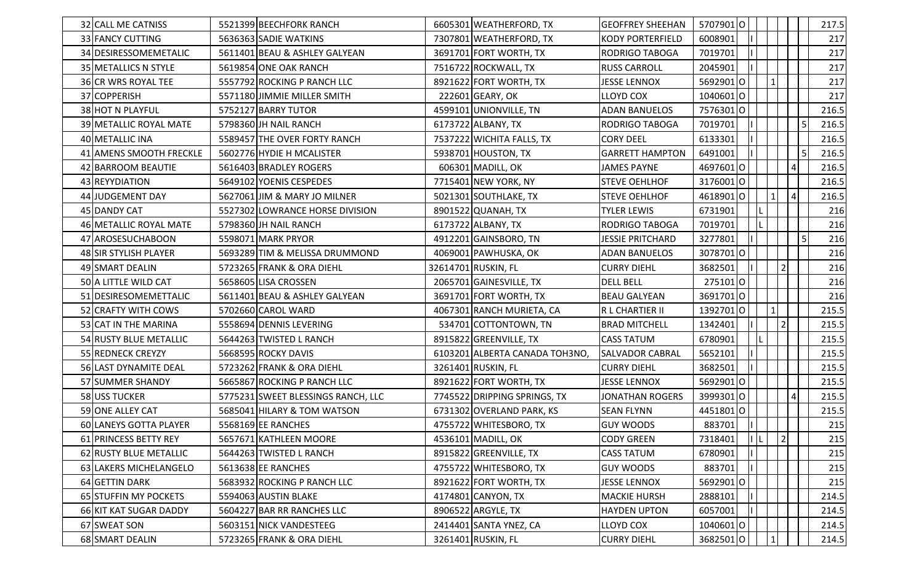| 32 CALL ME CATNISS         | 5521399 BEECHFORK RANCH            | 6605301 WEATHERFORD, TX        | <b>GEOFFREY SHEEHAN</b> | 57079010 |        |           |           | 217.5 |
|----------------------------|------------------------------------|--------------------------------|-------------------------|----------|--------|-----------|-----------|-------|
| 33 FANCY CUTTING           | 5636363 SADIE WATKINS              | 7307801 WEATHERFORD, TX        | <b>KODY PORTERFIELD</b> | 6008901  |        |           |           | 217   |
| 34 DESIRESSOMEMETALIC      | 5611401 BEAU & ASHLEY GALYEAN      | 3691701 FORT WORTH, TX         | <b>RODRIGO TABOGA</b>   | 7019701  |        |           |           | 217   |
| 35 METALLICS N STYLE       | 5619854 ONE OAK RANCH              | 7516722 ROCKWALL, TX           | <b>RUSS CARROLL</b>     | 2045901  |        |           |           | 217   |
| <b>36 CR WRS ROYAL TEE</b> | 5557792 ROCKING P RANCH LLC        | 8921622 FORT WORTH, TX         | <b>JESSE LENNOX</b>     | 56929010 |        |           |           | 217   |
| 37 COPPERISH               | 5571180 JIMMIE MILLER SMITH        | 222601 GEARY, OK               | <b>LLOYD COX</b>        | 10406010 |        |           |           | 217   |
| 38 HOT N PLAYFUL           | 5752127 BARRY TUTOR                | 4599101 UNIONVILLE, TN         | <b>ADAN BANUELOS</b>    | 75763010 |        |           |           | 216.5 |
| 39 METALLIC ROYAL MATE     | 5798360 JH NAIL RANCH              | 6173722 ALBANY, TX             | <b>RODRIGO TABOGA</b>   | 7019701  |        |           | $\vert$ 5 | 216.5 |
| 40 METALLIC INA            | 5589457 THE OVER FORTY RANCH       | 7537222 WICHITA FALLS, TX      | <b>CORY DEEL</b>        | 6133301  |        |           |           | 216.5 |
| 41 AMENS SMOOTH FRECKLE    | 5602776 HYDIE H MCALISTER          | 5938701 HOUSTON, TX            | <b>GARRETT HAMPTON</b>  | 6491001  |        |           | l 5l      | 216.5 |
| 42 BARROOM BEAUTIE         | 5616403 BRADLEY ROGERS             | 606301 MADILL, OK              | <b>JAMES PAYNE</b>      | 4697601O |        |           | $\vert$   | 216.5 |
| 43 REYYDIATION             | 5649102 YOENIS CESPEDES            | 7715401 NEW YORK, NY           | <b>STEVE OEHLHOF</b>    | 31760010 |        |           |           | 216.5 |
| 44 JUDGEMENT DAY           | 5627061 JIM & MARY JO MILNER       | 5021301 SOUTHLAKE, TX          | <b>STEVE OEHLHOF</b>    | 46189010 |        | 4         |           | 216.5 |
| 45 DANDY CAT               | 5527302 LOWRANCE HORSE DIVISION    | 8901522 QUANAH, TX             | <b>TYLER LEWIS</b>      | 6731901  |        |           |           | 216   |
| 46 METALLIC ROYAL MATE     | 5798360 JH NAIL RANCH              | 6173722 ALBANY, TX             | <b>RODRIGO TABOGA</b>   | 7019701  |        |           |           | 216   |
| 47 AROSESUCHABOON          | 5598071 MARK PRYOR                 | 4912201 GAINSBORO, TN          | <b>JESSIE PRITCHARD</b> | 3277801  |        |           | $\vert$ 5 | 216   |
| 48 SIR STYLISH PLAYER      | 5693289 TIM & MELISSA DRUMMOND     | 4069001 PAWHUSKA, OK           | <b>ADAN BANUELOS</b>    | 30787010 |        |           |           | 216   |
| 49 SMART DEALIN            | 5723265 FRANK & ORA DIEHL          | 32614701 RUSKIN, FL            | <b>CURRY DIEHL</b>      | 3682501  |        | $\vert$ 2 |           | 216   |
| 50 A LITTLE WILD CAT       | 5658605 LISA CROSSEN               | 2065701 GAINESVILLE, TX        | <b>DELL BELL</b>        | 2751010  |        |           |           | 216   |
| 51 DESIRESOMEMETTALIC      | 5611401 BEAU & ASHLEY GALYEAN      | 3691701 FORT WORTH, TX         | <b>BEAU GALYEAN</b>     | 36917010 |        |           |           | 216   |
| 52 CRAFTY WITH COWS        | 5702660 CAROL WARD                 | 4067301 RANCH MURIETA, CA      | R L CHARTIER II         | 13927010 |        |           |           | 215.5 |
| 53 CAT IN THE MARINA       | 5558694 DENNIS LEVERING            | 534701 COTTONTOWN, TN          | <b>BRAD MITCHELL</b>    | 1342401  |        |           |           | 215.5 |
| 54 RUSTY BLUE METALLIC     | 5644263 TWISTED L RANCH            | 8915822 GREENVILLE, TX         | <b>CASS TATUM</b>       | 6780901  |        |           |           | 215.5 |
| 55 REDNECK CREYZY          | 5668595 ROCKY DAVIS                | 6103201 ALBERTA CANADA TOH3NO, | <b>SALVADOR CABRAL</b>  | 5652101  |        |           |           | 215.5 |
| 56 LAST DYNAMITE DEAL      | 5723262 FRANK & ORA DIEHL          | 3261401 RUSKIN, FL             | <b>CURRY DIEHL</b>      | 3682501  |        |           |           | 215.5 |
| 57 SUMMER SHANDY           | 5665867 ROCKING P RANCH LLC        | 8921622 FORT WORTH, TX         | <b>JESSE LENNOX</b>     | 56929010 |        |           |           | 215.5 |
| 58 USS TUCKER              | 5775231 SWEET BLESSINGS RANCH, LLC | 7745522 DRIPPING SPRINGS, TX   | <b>JONATHAN ROGERS</b>  | 39993010 |        | 4         |           | 215.5 |
| 59 ONE ALLEY CAT           | 5685041 HILARY & TOM WATSON        | 6731302 OVERLAND PARK, KS      | <b>SEAN FLYNN</b>       | 4451801O |        |           |           | 215.5 |
| 60 LANEYS GOTTA PLAYER     | 5568169 EE RANCHES                 | 4755722 WHITESBORO, TX         | <b>GUY WOODS</b>        | 883701   | - In I |           |           | 215   |
| 61 PRINCESS BETTY REY      | 5657671 KATHLEEN MOORE             | 4536101 MADILL, OK             | <b>CODY GREEN</b>       | 7318401  | IL.    | 2         |           | 215   |
| 62 RUSTY BLUE METALLIC     | 5644263 TWISTED L RANCH            | 8915822 GREENVILLE, TX         | <b>CASS TATUM</b>       | 6780901  |        |           |           | 215   |
| 63 LAKERS MICHELANGELO     | 5613638 EE RANCHES                 | 4755722 WHITESBORO, TX         | <b>GUY WOODS</b>        | 883701   |        |           |           | 215   |
| 64 GETTIN DARK             | 5683932 ROCKING P RANCH LLC        | 8921622 FORT WORTH, TX         | <b>JESSE LENNOX</b>     | 56929010 |        |           |           | 215   |
| 65 STUFFIN MY POCKETS      | 5594063 AUSTIN BLAKE               | 4174801 CANYON, TX             | <b>MACKIE HURSH</b>     | 2888101  |        |           |           | 214.5 |
| 66 KIT KAT SUGAR DADDY     | 5604227 BAR RR RANCHES LLC         | 8906522 ARGYLE, TX             | <b>HAYDEN UPTON</b>     | 6057001  |        |           |           | 214.5 |
| 67 SWEAT SON               | 5603151 NICK VANDESTEEG            | 2414401 SANTA YNEZ, CA         | LLOYD COX               | 10406010 |        |           |           | 214.5 |
| 68 SMART DEALIN            | 5723265 FRANK & ORA DIEHL          | 3261401 RUSKIN, FL             | <b>CURRY DIEHL</b>      | 36825010 |        |           |           | 214.5 |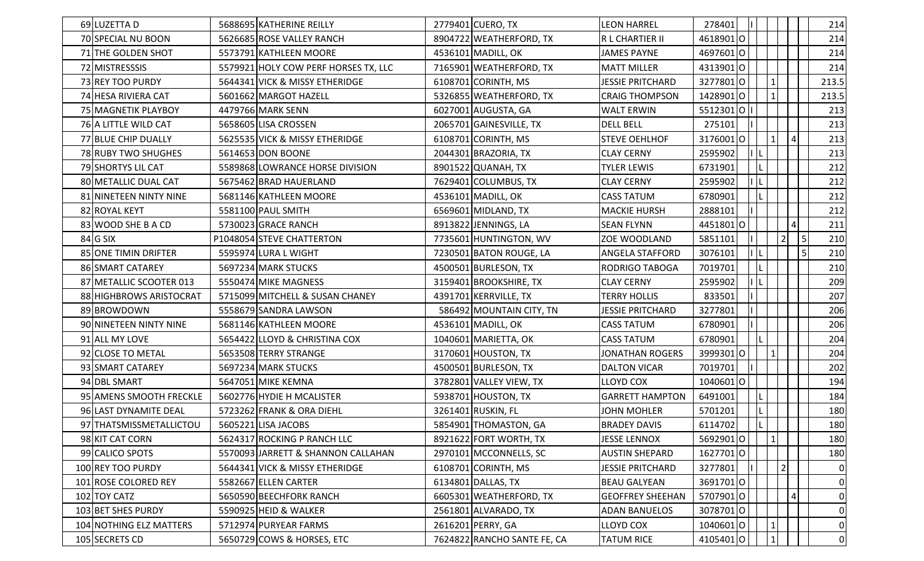| 69 LUZETTA D                | 5688695 KATHERINE REILLY             | 2779401 CUERO, TX           | <b>LEON HARREL</b>      | 278401                            |                 | 214              |
|-----------------------------|--------------------------------------|-----------------------------|-------------------------|-----------------------------------|-----------------|------------------|
| 70 SPECIAL NU BOON          | 5626685 ROSE VALLEY RANCH            | 8904722 WEATHERFORD, TX     | IR L CHARTIER II        | 46189010                          |                 | 214              |
| 71 THE GOLDEN SHOT          | 5573791 KATHLEEN MOORE               | 4536101 MADILL, OK          | <b>JAMES PAYNE</b>      | 46976010                          |                 | 214              |
| 72 MISTRESSSIS              | 5579921 HOLY COW PERF HORSES TX, LLC | 7165901 WEATHERFORD, TX     | <b>MATT MILLER</b>      | 43139010                          |                 | 214              |
| 73 REY TOO PURDY            | 5644341 VICK & MISSY ETHERIDGE       | 6108701 CORINTH, MS         | <b>JESSIE PRITCHARD</b> | 3277801O                          |                 | 213.5            |
| 74 HESA RIVIERA CAT         | 5601662 MARGOT HAZELL                | 5326855 WEATHERFORD, TX     | <b>CRAIG THOMPSON</b>   | 14289010                          |                 | 213.5            |
| 75 MAGNETIK PLAYBOY         | 4479766 MARK SENN                    | 6027001 AUGUSTA, GA         | <b>WALT ERWIN</b>       | 551230101                         |                 | 213              |
| 76 A LITTLE WILD CAT        | 5658605 LISA CROSSEN                 | 2065701 GAINESVILLE, TX     | <b>DELL BELL</b>        | 275101                            |                 | 213              |
| 77 BLUE CHIP DUALLY         | 5625535 VICK & MISSY ETHERIDGE       | 6108701 CORINTH, MS         | <b>STEVE OEHLHOF</b>    | 3176001<br>O                      | $\vert 4 \vert$ | 213              |
| 78 RUBY TWO SHUGHES         | 5614653 DON BOONE                    | 2044301 BRAZORIA, TX        | <b>CLAY CERNY</b>       | 2595902                           |                 | 213              |
| 79 SHORTYS LIL CAT          | 5589868 LOWRANCE HORSE DIVISION      | 8901522 QUANAH, TX          | TYLER LEWIS             | 6731901                           |                 | 212              |
| 80 METALLIC DUAL CAT        | 5675462 BRAD HAUERLAND               | 7629401 COLUMBUS, TX        | <b>CLAY CERNY</b>       | 2595902<br>ΙL                     |                 | 212              |
| 81 NINETEEN NINTY NINE      | 5681146 KATHLEEN MOORE               | 4536101 MADILL, OK          | <b>CASS TATUM</b>       | 6780901                           |                 | 212              |
| 82 ROYAL KEYT               | 5581100 PAUL SMITH                   | 6569601 MIDLAND, TX         | <b>MACKIE HURSH</b>     | 2888101                           |                 | 212              |
| 83 WOOD SHE B A CD          | 5730023 GRACE RANCH                  | 8913822 JENNINGS, LA        | <b>SEAN FLYNN</b>       | 44518010                          | 41              | 211              |
| $84$ G SIX                  | P1048054 STEVE CHATTERTON            | 7735601 HUNTINGTON, WV      | ZOE WOODLAND            | 5851101                           | $\overline{2}$  | $\vert$ 5<br>210 |
| <b>85 ONE TIMIN DRIFTER</b> | 5595974 LURA L WIGHT                 | 7230501 BATON ROUGE, LA     | <b>ANGELA STAFFORD</b>  | $\Pi$ ,<br>3076101                |                 | $\vert$ 5<br>210 |
| 86 SMART CATAREY            | 5697234 MARK STUCKS                  | 4500501 BURLESON, TX        | <b>RODRIGO TABOGA</b>   | 7019701                           |                 | 210              |
| 87 METALLIC SCOOTER 013     | 5550474 MIKE MAGNESS                 | 3159401 BROOKSHIRE, TX      | <b>CLAY CERNY</b>       | 2595902                           |                 | 209              |
| 88 HIGHBROWS ARISTOCRAT     | 5715099 MITCHELL & SUSAN CHANEY      | 4391701 KERRVILLE, TX       | TERRY HOLLIS            | 833501                            |                 | 207              |
| 89 BROWDOWN                 | 5558679 SANDRA LAWSON                | 586492 MOUNTAIN CITY, TN    | <b>JESSIE PRITCHARD</b> | 3277801                           |                 | 206              |
| 90 NINETEEN NINTY NINE      | 5681146 KATHLEEN MOORE               | 4536101 MADILL, OK          | <b>CASS TATUM</b>       | 6780901                           |                 | 206              |
| 91 ALL MY LOVE              | 5654422 LLOYD & CHRISTINA COX        | 1040601 MARIETTA, OK        | <b>CASS TATUM</b>       | 6780901                           |                 | 204              |
| 92 CLOSE TO METAL           | 5653508 TERRY STRANGE                | 3170601 HOUSTON, TX         | <b>JONATHAN ROGERS</b>  | 39993010                          |                 | 204              |
| 93 SMART CATAREY            | 5697234 MARK STUCKS                  | 4500501 BURLESON, TX        | <b>DALTON VICAR</b>     | 7019701                           |                 | 202              |
| 94 DBL SMART                | 5647051 MIKE KEMNA                   | 3782801 VALLEY VIEW, TX     | <b>LLOYD COX</b>        | 10406010                          |                 | 194              |
| 95 AMENS SMOOTH FRECKLE     | 5602776 HYDIE H MCALISTER            | 5938701 HOUSTON, TX         | <b>GARRETT HAMPTON</b>  | 6491001                           |                 | 184              |
| 96 LAST DYNAMITE DEAL       | 5723262 FRANK & ORA DIEHL            | 3261401 RUSKIN, FL          | JOHN MOHLER             | 5701201                           |                 | 180              |
| 97 THATSMISSMETALLICTOU     | 5605221 LISA JACOBS                  | 5854901 THOMASTON, GA       | <b>BRADEY DAVIS</b>     | 6114702   $\lfloor \cdot \rfloor$ |                 | 180              |
| 98 KIT CAT CORN             | 5624317 ROCKING P RANCH LLC          | 8921622 FORT WORTH, TX      | <b>JESSE LENNOX</b>     | 56929010                          |                 | 180              |
| 99 CALICO SPOTS             | 5570093 JARRETT & SHANNON CALLAHAN   | 2970101 MCCONNELLS, SC      | <b>AUSTIN SHEPARD</b>   | 16277010                          |                 | 180              |
| 100 REY TOO PURDY           | 5644341 VICK & MISSY ETHERIDGE       | 6108701 CORINTH, MS         | <b>JESSIE PRITCHARD</b> | 3277801                           |                 |                  |
| 101 ROSE COLORED REY        | 5582667 ELLEN CARTER                 | 6134801 DALLAS, TX          | <b>BEAU GALYEAN</b>     | 36917010                          |                 |                  |
| 102 TOY CATZ                | 5650590 BEECHFORK RANCH              | 6605301 WEATHERFORD, TX     | <b>GEOFFREY SHEEHAN</b> | 57079010                          | $\vert 4 \vert$ |                  |
| 103 BET SHES PURDY          | 5590925 HEID & WALKER                | 2561801 ALVARADO, TX        | <b>ADAN BANUELOS</b>    | 30787010                          |                 |                  |
| 104 NOTHING ELZ MATTERS     | 5712974 PURYEAR FARMS                | 2616201 PERRY, GA           | LLOYD COX               | 10406010                          |                 |                  |
| 105 SECRETS CD              | 5650729 COWS & HORSES, ETC           | 7624822 RANCHO SANTE FE, CA | <b>TATUM RICE</b>       | 4105401O                          |                 |                  |